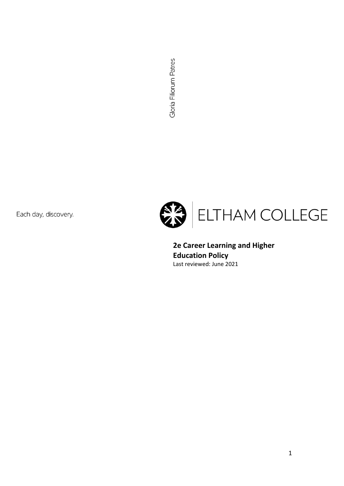Gloria Filiorum Patres

Each day, discovery.



**2e Career Learning and Higher Education Policy** Last reviewed: June 2021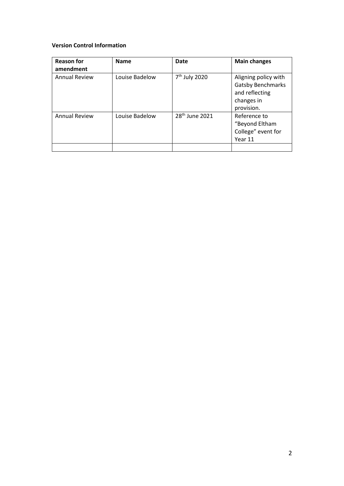#### **Version Control Information**

| <b>Reason for</b><br>amendment | <b>Name</b>    | Date                       | <b>Main changes</b>                                                                            |
|--------------------------------|----------------|----------------------------|------------------------------------------------------------------------------------------------|
| <b>Annual Review</b>           | Louise Badelow | 7 <sup>th</sup> July 2020  | Aligning policy with<br><b>Gatsby Benchmarks</b><br>and reflecting<br>changes in<br>provision. |
| <b>Annual Review</b>           | Louise Badelow | 28 <sup>th</sup> June 2021 | Reference to<br>"Beyond Eltham<br>College" event for<br>Year 11                                |
|                                |                |                            |                                                                                                |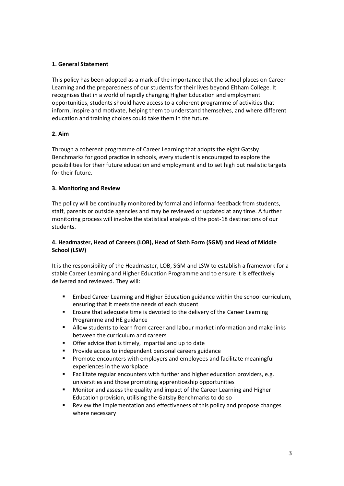# **1. General Statement**

This policy has been adopted as a mark of the importance that the school places on Career Learning and the preparedness of our students for their lives beyond Eltham College. It recognises that in a world of rapidly changing Higher Education and employment opportunities, students should have access to a coherent programme of activities that inform, inspire and motivate, helping them to understand themselves, and where different education and training choices could take them in the future.

#### **2. Aim**

Through a coherent programme of Career Learning that adopts the eight Gatsby Benchmarks for good practice in schools, every student is encouraged to explore the possibilities for their future education and employment and to set high but realistic targets for their future.

## **3. Monitoring and Review**

The policy will be continually monitored by formal and informal feedback from students, staff, parents or outside agencies and may be reviewed or updated at any time. A further monitoring process will involve the statistical analysis of the post-18 destinations of our students.

# **4. Headmaster, Head of Careers (LOB), Head of Sixth Form (SGM) and Head of Middle School (LSW)**

It is the responsibility of the Headmaster, LOB, SGM and LSW to establish a framework for a stable Career Learning and Higher Education Programme and to ensure it is effectively delivered and reviewed. They will:

- Embed Career Learning and Higher Education guidance within the school curriculum, ensuring that it meets the needs of each student
- Ensure that adequate time is devoted to the delivery of the Career Learning Programme and HE guidance
- Allow students to learn from career and labour market information and make links between the curriculum and careers
- Offer advice that is timely, impartial and up to date
- Provide access to independent personal careers guidance
- **•** Promote encounters with employers and employees and facilitate meaningful experiences in the workplace
- Facilitate regular encounters with further and higher education providers, e.g. universities and those promoting apprenticeship opportunities
- Monitor and assess the quality and impact of the Career Learning and Higher Education provision, utilising the Gatsby Benchmarks to do so
- Review the implementation and effectiveness of this policy and propose changes where necessary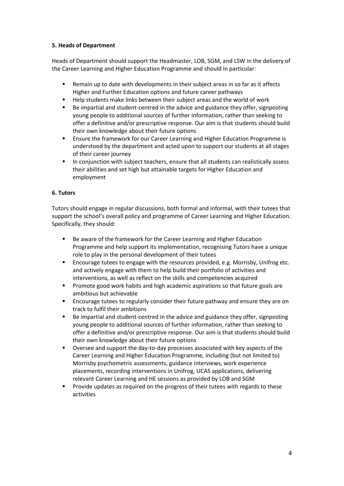## **5. Heads of Department**

Heads of Department should support the Headmaster, LOB, SGM, and LSW in the delivery of the Career Learning and Higher Education Programme and should in particular:

- Remain up to date with developments in their subject areas in so far as it affects Higher and Further Education options and future career pathways
- Help students make links between their subject areas and the world of work
- Be impartial and student-centred in the advice and guidance they offer, signposting young people to additional sources of further information, rather than seeking to offer a definitive and/or prescriptive response. Our aim is that students should build their own knowledge about their future options
- **E** Ensure the framework for our Career Learning and Higher Education Programme is understood by the department and acted upon to support our students at all stages of their career journey
- In conjunction with subject teachers, ensure that all students can realistically assess their abilities and set high but attainable targets for Higher Education and employment

# **6. Tutors**

Tutors should engage in regular discussions, both formal and informal, with their tutees that support the school's overall policy and programme of Career Learning and Higher Education. Specifically, they should:

- Be aware of the framework for the Career Learning and Higher Education Programme and help support its implementation, recognising Tutors have a unique role to play in the personal development of their tutees
- Encourage tutees to engage with the resources provided, e.g. Morrisby, Unifrog etc. and actively engage with them to help build their portfolio of activities and interventions, as well as reflect on the skills and competencies acquired
- Promote good work habits and high academic aspirations so that future goals are ambitious but achievable
- Encourage tutees to regularly consider their future pathway and ensure they are on track to fulfil their ambitions
- Be impartial and student-centred in the advice and guidance they offer, signposting young people to additional sources of further information, rather than seeking to offer a definitive and/or prescriptive response. Our aim is that students should build their own knowledge about their future options
- Oversee and support the day-to-day processes associated with key aspects of the Career Learning and Higher Education Programme, including (but not limited to) Morrisby psychometric assessments, guidance interviews, work experience placements, recording interventions in Unifrog, UCAS applications, delivering relevant Career Learning and HE sessions as provided by LOB and SGM
- Provide updates as required on the progress of their tutees with regards to these activities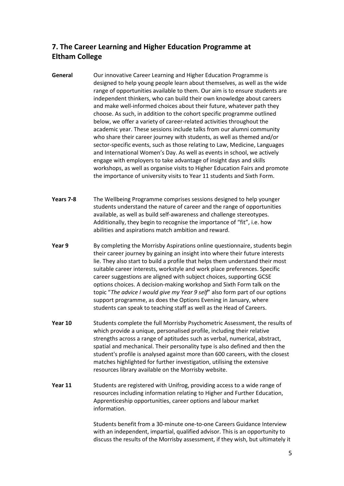# **7. The Career Learning and Higher Education Programme at Eltham College**

- **General** Our innovative Career Learning and Higher Education Programme is designed to help young people learn about themselves, as well as the wide range of opportunities available to them. Our aim is to ensure students are independent thinkers, who can build their own knowledge about careers and make well-informed choices about their future, whatever path they choose. As such, in addition to the cohort specific programme outlined below, we offer a variety of career-related activities throughout the academic year. These sessions include talks from our alumni community who share their career journey with students, as well as themed and/or sector-specific events, such as those relating to Law, Medicine, Languages and International Women's Day. As well as events in school, we actively engage with employers to take advantage of insight days and skills workshops, as well as organise visits to Higher Education Fairs and promote the importance of university visits to Year 11 students and Sixth Form.
- **Years 7-8** The Wellbeing Programme comprises sessions designed to help younger students understand the nature of career and the range of opportunities available, as well as build self-awareness and challenge stereotypes. Additionally, they begin to recognise the importance of "fit", i.e. how abilities and aspirations match ambition and reward.
- **Year 9** By completing the Morrisby Aspirations online questionnaire, students begin their career journey by gaining an insight into where their future interests lie. They also start to build a profile that helps them understand their most suitable career interests, workstyle and work place preferences. Specific career suggestions are aligned with subject choices, supporting GCSE options choices. A decision-making workshop and Sixth Form talk on the topic "*The advice I would give my Year 9 self*" also form part of our options support programme, as does the Options Evening in January, where students can speak to teaching staff as well as the Head of Careers.
- **Year 10** Students complete the full Morrisby Psychometric Assessment, the results of which provide a unique, personalised profile, including their relative strengths across a range of aptitudes such as verbal, numerical, abstract, spatial and mechanical. Their personality type is also defined and then the student's profile is analysed against more than 600 careers, with the closest matches highlighted for further investigation, utilising the extensive resources library available on the Morrisby website.
- **Year 11** Students are registered with Unifrog, providing access to a wide range of resources including information relating to Higher and Further Education, Apprenticeship opportunities, career options and labour market information.

Students benefit from a 30-minute one-to-one Careers Guidance Interview with an independent, impartial, qualified advisor. This is an opportunity to discuss the results of the Morrisby assessment, if they wish, but ultimately it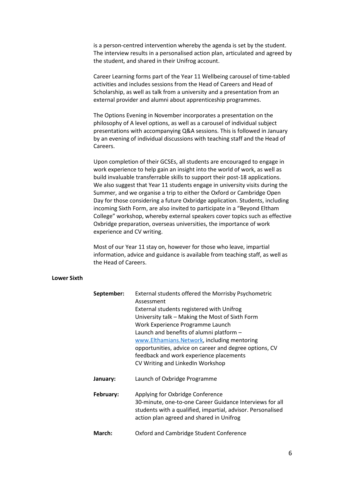is a person-centred intervention whereby the agenda is set by the student. The interview results in a personalised action plan, articulated and agreed by the student, and shared in their Unifrog account.

Career Learning forms part of the Year 11 Wellbeing carousel of time-tabled activities and includes sessions from the Head of Careers and Head of Scholarship, as well as talk from a university and a presentation from an external provider and alumni about apprenticeship programmes.

The Options Evening in November incorporates a presentation on the philosophy of A level options, as well as a carousel of individual subject presentations with accompanying Q&A sessions. This is followed in January by an evening of individual discussions with teaching staff and the Head of Careers.

Upon completion of their GCSEs, all students are encouraged to engage in work experience to help gain an insight into the world of work, as well as build invaluable transferrable skills to support their post-18 applications. We also suggest that Year 11 students engage in university visits during the Summer, and we organise a trip to either the Oxford or Cambridge Open Day for those considering a future Oxbridge application. Students, including incoming Sixth Form, are also invited to participate in a "Beyond Eltham College" workshop, whereby external speakers cover topics such as effective Oxbridge preparation, overseas universities, the importance of work experience and CV writing.

Most of our Year 11 stay on, however for those who leave, impartial information, advice and guidance is available from teaching staff, as well as the Head of Careers.

#### **Lower Sixth**

| September: | External students offered the Morrisby Psychometric<br>Assessment                                                                                                                                       |  |  |  |
|------------|---------------------------------------------------------------------------------------------------------------------------------------------------------------------------------------------------------|--|--|--|
|            | External students registered with Unifrog                                                                                                                                                               |  |  |  |
|            | University talk - Making the Most of Sixth Form                                                                                                                                                         |  |  |  |
|            | Work Experience Programme Launch                                                                                                                                                                        |  |  |  |
|            | Launch and benefits of alumni platform -                                                                                                                                                                |  |  |  |
|            | www.Elthamians.Network, including mentoring                                                                                                                                                             |  |  |  |
|            | opportunities, advice on career and degree options, CV                                                                                                                                                  |  |  |  |
|            | feedback and work experience placements                                                                                                                                                                 |  |  |  |
|            | CV Writing and LinkedIn Workshop                                                                                                                                                                        |  |  |  |
| January:   | Launch of Oxbridge Programme                                                                                                                                                                            |  |  |  |
| February:  | Applying for Oxbridge Conference<br>30-minute, one-to-one Career Guidance Interviews for all<br>students with a qualified, impartial, advisor. Personalised<br>action plan agreed and shared in Unifrog |  |  |  |
| March:     | Oxford and Cambridge Student Conference                                                                                                                                                                 |  |  |  |